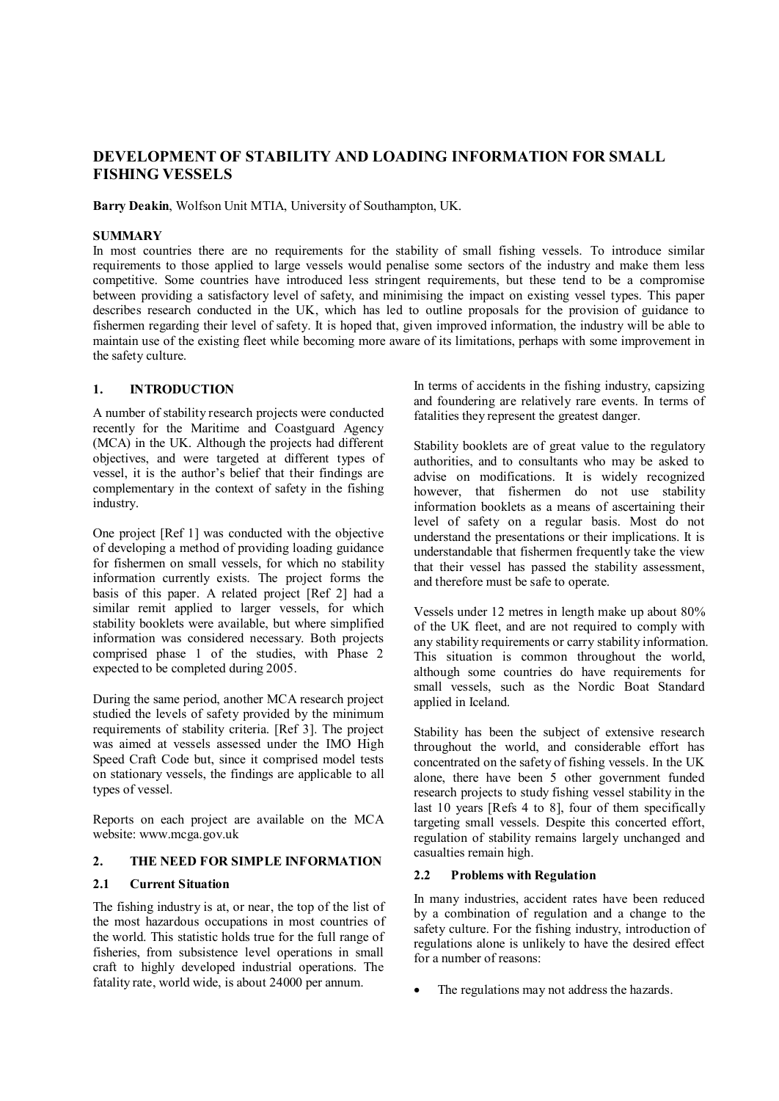# **DEVELOPMENT OF STABILITY AND LOADING INFORMATION FOR SMALL FISHING VESSELS**

**Barry Deakin**, Wolfson Unit MTIA, University of Southampton, UK.

### **SUMMARY**

In most countries there are no requirements for the stability of small fishing vessels. To introduce similar requirements to those applied to large vessels would penalise some sectors of the industry and make them less competitive. Some countries have introduced less stringent requirements, but these tend to be a compromise between providing a satisfactory level of safety, and minimising the impact on existing vessel types. This paper describes research conducted in the UK, which has led to outline proposals for the provision of guidance to fishermen regarding their level of safety. It is hoped that, given improved information, the industry will be able to maintain use of the existing fleet while becoming more aware of its limitations, perhaps with some improvement in the safety culture.

### **1. INTRODUCTION**

A number of stability research projects were conducted recently for the Maritime and Coastguard Agency (MCA) in the UK. Although the projects had different objectives, and were targeted at different types of vessel, it is the author's belief that their findings are complementary in the context of safety in the fishing industry.

One project [Ref 1] was conducted with the objective of developing a method of providing loading guidance for fishermen on small vessels, for which no stability information currently exists. The project forms the basis of this paper. A related project [Ref 2] had a similar remit applied to larger vessels, for which stability booklets were available, but where simplified information was considered necessary. Both projects comprised phase 1 of the studies, with Phase 2 expected to be completed during 2005.

During the same period, another MCA research project studied the levels of safety provided by the minimum requirements of stability criteria. [Ref 3]. The project was aimed at vessels assessed under the IMO High Speed Craft Code but, since it comprised model tests on stationary vessels, the findings are applicable to all types of vessel.

Reports on each project are available on the MCA website: www.mcga.gov.uk

#### **2. THE NEED FOR SIMPLE INFORMATION**

### **2.1 Current Situation**

The fishing industry is at, or near, the top of the list of the most hazardous occupations in most countries of the world. This statistic holds true for the full range of fisheries, from subsistence level operations in small craft to highly developed industrial operations. The fatality rate, world wide, is about 24000 per annum.

In terms of accidents in the fishing industry, capsizing and foundering are relatively rare events. In terms of fatalities they represent the greatest danger.

Stability booklets are of great value to the regulatory authorities, and to consultants who may be asked to advise on modifications. It is widely recognized however, that fishermen do not use stability information booklets as a means of ascertaining their level of safety on a regular basis. Most do not understand the presentations or their implications. It is understandable that fishermen frequently take the view that their vessel has passed the stability assessment, and therefore must be safe to operate.

Vessels under 12 metres in length make up about 80% of the UK fleet, and are not required to comply with any stability requirements or carry stability information. This situation is common throughout the world, although some countries do have requirements for small vessels, such as the Nordic Boat Standard applied in Iceland.

Stability has been the subject of extensive research throughout the world, and considerable effort has concentrated on the safety of fishing vessels. In the UK alone, there have been 5 other government funded research projects to study fishing vessel stability in the last 10 years [Refs 4 to 8], four of them specifically targeting small vessels. Despite this concerted effort, regulation of stability remains largely unchanged and casualties remain high.

## **2.2 Problems with Regulation**

In many industries, accident rates have been reduced by a combination of regulation and a change to the safety culture. For the fishing industry, introduction of regulations alone is unlikely to have the desired effect for a number of reasons:

The regulations may not address the hazards.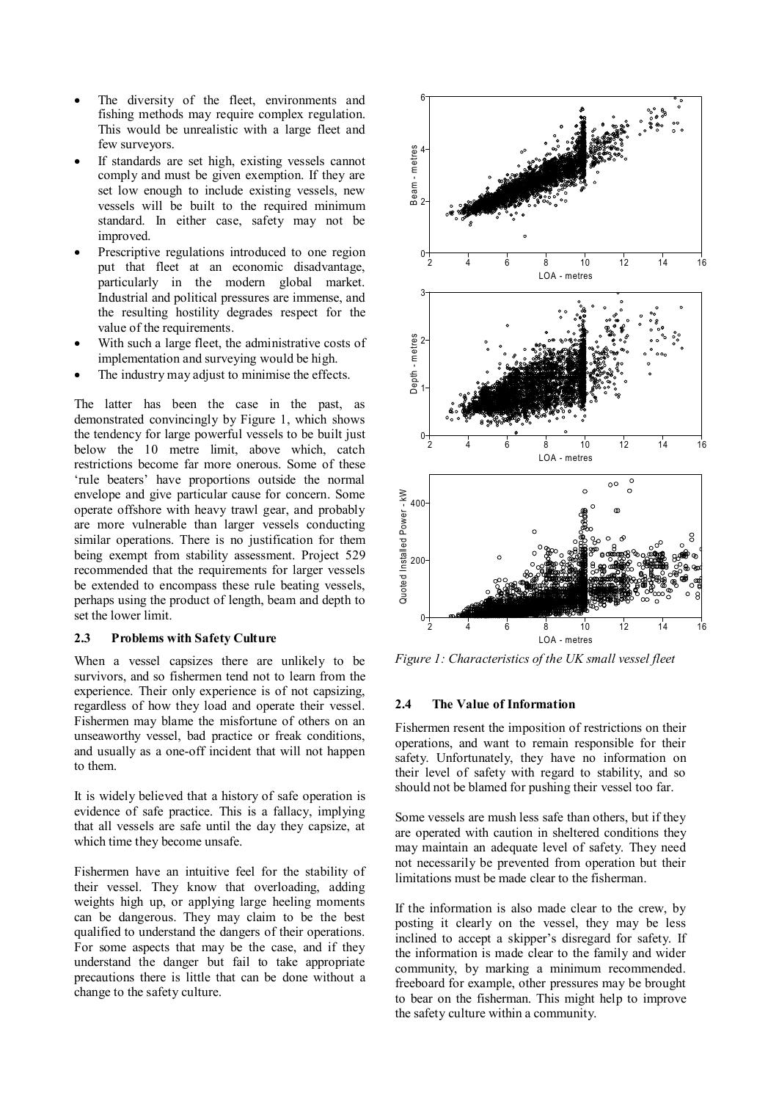- The diversity of the fleet, environments and fishing methods may require complex regulation. This would be unrealistic with a large fleet and few surveyors.
- If standards are set high, existing vessels cannot comply and must be given exemption. If they are set low enough to include existing vessels, new vessels will be built to the required minimum standard. In either case, safety may not be improved.
- Prescriptive regulations introduced to one region put that fleet at an economic disadvantage, particularly in the modern global market. Industrial and political pressures are immense, and the resulting hostility degrades respect for the value of the requirements.
- With such a large fleet, the administrative costs of implementation and surveying would be high.
- The industry may adjust to minimise the effects.

The latter has been the case in the past, as demonstrated convincingly by Figure 1, which shows the tendency for large powerful vessels to be built just below the 10 metre limit, above which, catch restrictions become far more onerous. Some of these 'rule beaters' have proportions outside the normal envelope and give particular cause for concern. Some operate offshore with heavy trawl gear, and probably are more vulnerable than larger vessels conducting similar operations. There is no justification for them being exempt from stability assessment. Project 529 recommended that the requirements for larger vessels be extended to encompass these rule beating vessels, perhaps using the product of length, beam and depth to set the lower limit.

#### **2.3 Problems with Safety Culture**

When a vessel capsizes there are unlikely to be survivors, and so fishermen tend not to learn from the experience. Their only experience is of not capsizing, regardless of how they load and operate their vessel. Fishermen may blame the misfortune of others on an unseaworthy vessel, bad practice or freak conditions, and usually as a one-off incident that will not happen to them.

It is widely believed that a history of safe operation is evidence of safe practice. This is a fallacy, implying that all vessels are safe until the day they capsize, at which time they become unsafe.

Fishermen have an intuitive feel for the stability of their vessel. They know that overloading, adding weights high up, or applying large heeling moments can be dangerous. They may claim to be the best qualified to understand the dangers of their operations. For some aspects that may be the case, and if they understand the danger but fail to take appropriate precautions there is little that can be done without a change to the safety culture.



*Figure 1: Characteristics of the UK small vessel fleet* 

#### **2.4 The Value of Information**

Fishermen resent the imposition of restrictions on their operations, and want to remain responsible for their safety. Unfortunately, they have no information on their level of safety with regard to stability, and so should not be blamed for pushing their vessel too far.

Some vessels are mush less safe than others, but if they are operated with caution in sheltered conditions they may maintain an adequate level of safety. They need not necessarily be prevented from operation but their limitations must be made clear to the fisherman.

If the information is also made clear to the crew, by posting it clearly on the vessel, they may be less inclined to accept a skipper's disregard for safety. If the information is made clear to the family and wider community, by marking a minimum recommended. freeboard for example, other pressures may be brought to bear on the fisherman. This might help to improve the safety culture within a community.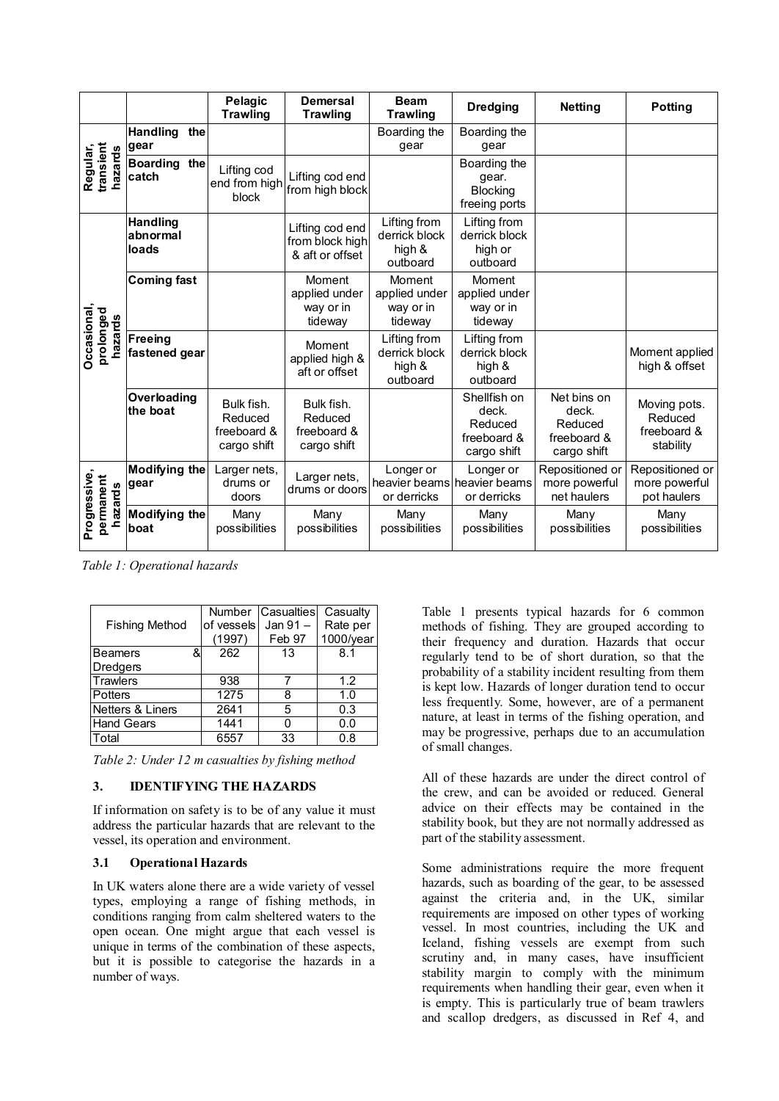|                                      |                                      | Pelagic<br><b>Trawling</b>                          | <b>Demersal</b><br><b>Trawling</b>                    | <b>Beam</b><br><b>Trawling</b>                      | <b>Dredging</b>                                                | <b>Netting</b>                                                | <b>Potting</b>                                      |
|--------------------------------------|--------------------------------------|-----------------------------------------------------|-------------------------------------------------------|-----------------------------------------------------|----------------------------------------------------------------|---------------------------------------------------------------|-----------------------------------------------------|
| transient<br>Regular,<br>hazards     | <b>Handling</b><br>the<br>gear       |                                                     |                                                       | Boarding the<br>gear                                | Boarding the<br>gear                                           |                                                               |                                                     |
|                                      | <b>Boarding</b><br>the<br>catch      | Lifting cod<br>end from high<br>block               | Lifting cod end<br>from high block                    |                                                     | Boarding the<br>qear.<br><b>Blocking</b><br>freeing ports      |                                                               |                                                     |
| Occasional,<br>prolonged<br>hazards  | <b>Handling</b><br>abnormal<br>loads |                                                     | Lifting cod end<br>from block high<br>& aft or offset | Lifting from<br>derrick block<br>high &<br>outboard | Lifting from<br>derrick block<br>high or<br>outboard           |                                                               |                                                     |
|                                      | <b>Coming fast</b>                   |                                                     | Moment<br>applied under<br>way or in<br>tideway       | Moment<br>applied under<br>way or in<br>tideway     | Moment<br>applied under<br>way or in<br>tideway                |                                                               |                                                     |
|                                      | <b>Freeing</b><br>fastened gear      |                                                     | Moment<br>applied high &<br>aft or offset             | Lifting from<br>derrick block<br>high &<br>outboard | Lifting from<br>derrick block<br>high &<br>outboard            |                                                               | Moment applied<br>high & offset                     |
|                                      | Overloading<br>the boat              | Bulk fish.<br>Reduced<br>freeboard &<br>cargo shift | Bulk fish.<br>Reduced<br>freeboard &<br>cargo shift   |                                                     | Shellfish on<br>deck.<br>Reduced<br>freeboard &<br>cargo shift | Net bins on<br>deck.<br>Reduced<br>freeboard &<br>cargo shift | Moving pots.<br>Reduced<br>freeboard &<br>stability |
| Progressive,<br>permanent<br>hazards | <b>Modifying the</b><br>gear         | Larger nets,<br>drums or<br>doors                   | Larger nets,<br>drums or doors                        | Longer or<br>or derricks                            | Longer or<br>heavier beams heavier beams<br>or derricks        | Repositioned or<br>more powerful<br>net haulers               | Repositioned or<br>more powerful<br>pot haulers     |
|                                      | <b>Modifying the</b><br>boat         | Many<br>possibilities                               | Many<br>possibilities                                 | Many<br>possibilities                               | Many<br>possibilities                                          | Many<br>possibilities                                         | Many<br>possibilities                               |

*Table 1: Operational hazards* 

|                       | <b>Number</b> | <b>Casualties</b> | Casualty  |
|-----------------------|---------------|-------------------|-----------|
| <b>Fishing Method</b> | of vessels    | Jan $91 -$        | Rate per  |
|                       | (1997)        | Feb 97            | 1000/year |
| <b>Beamers</b><br>&   | 262           | 13                | 8.1       |
| Dredgers              |               |                   |           |
| <b>Trawlers</b>       | 938           |                   | 1.2       |
| Potters               | 1275          | 8                 | 1.0       |
| Netters & Liners      | 2641          | 5                 | 0.3       |
| <b>Hand Gears</b>     | 1441          |                   | 0.0       |
| Total                 | 6557          | 33                | 0.8       |

*Table 2: Under 12 m casualties by fishing method* 

## **3. IDENTIFYING THE HAZARDS**

If information on safety is to be of any value it must address the particular hazards that are relevant to the vessel, its operation and environment.

## **3.1 Operational Hazards**

In UK waters alone there are a wide variety of vessel types, employing a range of fishing methods, in conditions ranging from calm sheltered waters to the open ocean. One might argue that each vessel is unique in terms of the combination of these aspects, but it is possible to categorise the hazards in a number of ways.

Table 1 presents typical hazards for 6 common methods of fishing. They are grouped according to their frequency and duration. Hazards that occur regularly tend to be of short duration, so that the probability of a stability incident resulting from them is kept low. Hazards of longer duration tend to occur less frequently. Some, however, are of a permanent nature, at least in terms of the fishing operation, and may be progressive, perhaps due to an accumulation of small changes.

All of these hazards are under the direct control of the crew, and can be avoided or reduced. General advice on their effects may be contained in the stability book, but they are not normally addressed as part of the stability assessment.

Some administrations require the more frequent hazards, such as boarding of the gear, to be assessed against the criteria and, in the UK, similar requirements are imposed on other types of working vessel. In most countries, including the UK and Iceland, fishing vessels are exempt from such scrutiny and, in many cases, have insufficient stability margin to comply with the minimum requirements when handling their gear, even when it is empty. This is particularly true of beam trawlers and scallop dredgers, as discussed in Ref 4, and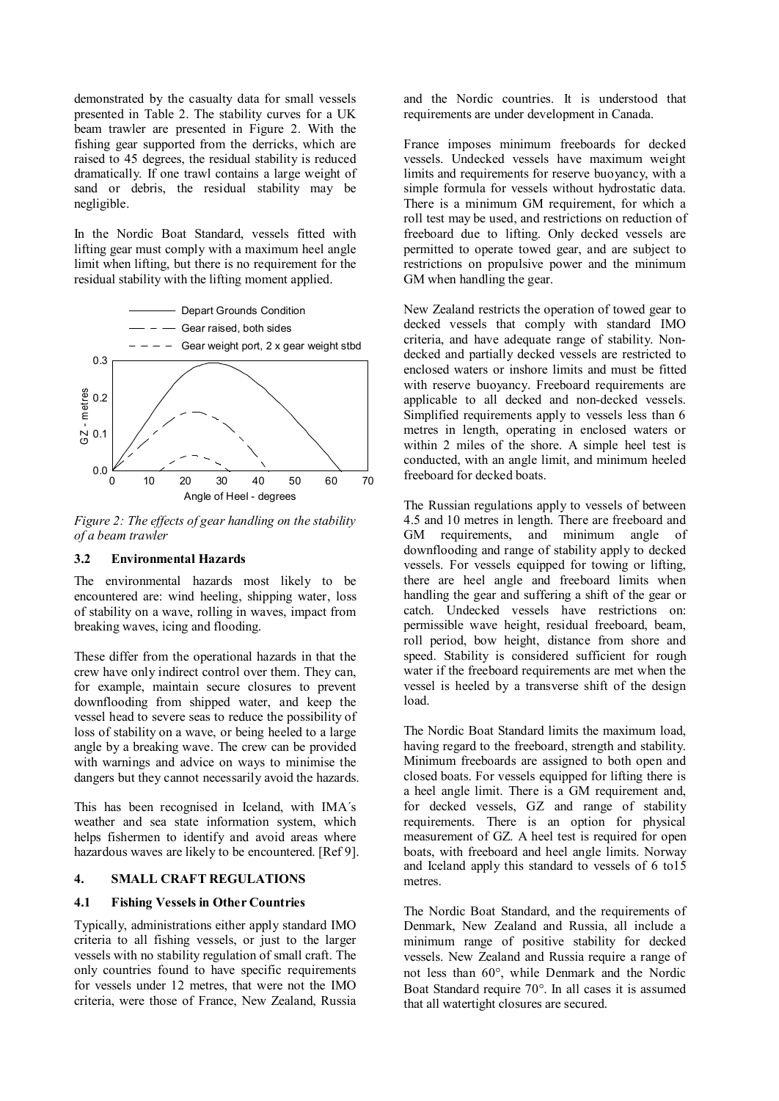demonstrated by the casualty data for small vessels presented in Table 2. The stability curves for a UK beam trawler are presented in Figure 2. With the fishing gear supported from the derricks, which are raised to 45 degrees, the residual stability is reduced dramatically. If one trawl contains a large weight of sand or debris, the residual stability may be negligible.

In the Nordic Boat Standard, vessels fitted with lifting gear must comply with a maximum heel angle limit when lifting, but there is no requirement for the residual stability with the lifting moment applied.



*Figure 2: The effects of gear handling on the stability of a beam trawler* 

## **3.2 Environmental Hazards**

The environmental hazards most likely to be encountered are: wind heeling, shipping water, loss of stability on a wave, rolling in waves, impact from breaking waves, icing and flooding.

These differ from the operational hazards in that the crew have only indirect control over them. They can, for example, maintain secure closures to prevent downflooding from shipped water, and keep the vessel head to severe seas to reduce the possibility of loss of stability on a wave, or being heeled to a large angle by a breaking wave. The crew can be provided with warnings and advice on ways to minimise the dangers but they cannot necessarily avoid the hazards.

This has been recognised in Iceland, with IMA´s weather and sea state information system, which helps fishermen to identify and avoid areas where hazardous waves are likely to be encountered. [Ref 9].

## **4. SMALL CRAFT REGULATIONS**

#### **4.1 Fishing Vessels in Other Countries**

Typically, administrations either apply standard IMO criteria to all fishing vessels, or just to the larger vessels with no stability regulation of small craft. The only countries found to have specific requirements for vessels under 12 metres, that were not the IMO criteria, were those of France, New Zealand, Russia

and the Nordic countries. It is understood that requirements are under development in Canada.

France imposes minimum freeboards for decked vessels. Undecked vessels have maximum weight limits and requirements for reserve buoyancy, with a simple formula for vessels without hydrostatic data. There is a minimum GM requirement, for which a roll test may be used, and restrictions on reduction of freeboard due to lifting. Only decked vessels are permitted to operate towed gear, and are subject to restrictions on propulsive power and the minimum GM when handling the gear.

New Zealand restricts the operation of towed gear to decked vessels that comply with standard IMO criteria, and have adequate range of stability. Nondecked and partially decked vessels are restricted to enclosed waters or inshore limits and must be fitted with reserve buoyancy. Freeboard requirements are applicable to all decked and non-decked vessels. Simplified requirements apply to vessels less than 6 metres in length, operating in enclosed waters or within 2 miles of the shore. A simple heel test is conducted, with an angle limit, and minimum heeled freeboard for decked boats.

The Russian regulations apply to vessels of between 4.5 and 10 metres in length. There are freeboard and GM requirements, and minimum angle of downflooding and range of stability apply to decked vessels. For vessels equipped for towing or lifting, there are heel angle and freeboard limits when handling the gear and suffering a shift of the gear or catch. Undecked vessels have restrictions on: permissible wave height, residual freeboard, beam, roll period, bow height, distance from shore and speed. Stability is considered sufficient for rough water if the freeboard requirements are met when the vessel is heeled by a transverse shift of the design load.

The Nordic Boat Standard limits the maximum load, having regard to the freeboard, strength and stability. Minimum freeboards are assigned to both open and closed boats. For vessels equipped for lifting there is a heel angle limit. There is a GM requirement and, for decked vessels, GZ and range of stability requirements. There is an option for physical measurement of GZ. A heel test is required for open boats, with freeboard and heel angle limits. Norway and Iceland apply this standard to vessels of 6 to15 metres.

The Nordic Boat Standard, and the requirements of Denmark, New Zealand and Russia, all include a minimum range of positive stability for decked vessels. New Zealand and Russia require a range of not less than 60°, while Denmark and the Nordic Boat Standard require 70°. In all cases it is assumed that all watertight closures are secured.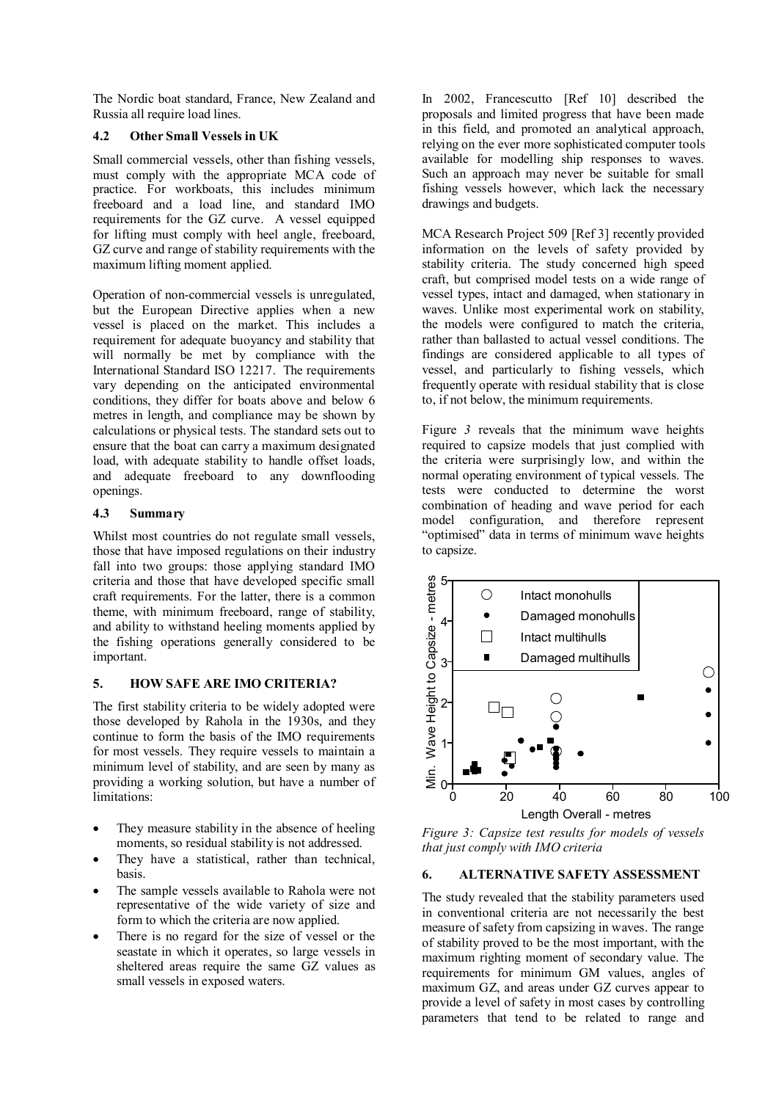The Nordic boat standard, France, New Zealand and Russia all require load lines.

## **4.2 Other Small Vessels in UK**

Small commercial vessels, other than fishing vessels, must comply with the appropriate MCA code of practice. For workboats, this includes minimum freeboard and a load line, and standard IMO requirements for the GZ curve. A vessel equipped for lifting must comply with heel angle, freeboard, GZ curve and range of stability requirements with the maximum lifting moment applied.

Operation of non-commercial vessels is unregulated, but the European Directive applies when a new vessel is placed on the market. This includes a requirement for adequate buoyancy and stability that will normally be met by compliance with the International Standard ISO 12217. The requirements vary depending on the anticipated environmental conditions, they differ for boats above and below 6 metres in length, and compliance may be shown by calculations or physical tests. The standard sets out to ensure that the boat can carry a maximum designated load, with adequate stability to handle offset loads, and adequate freeboard to any downflooding openings.

## **4.3 Summary**

Whilst most countries do not regulate small vessels, those that have imposed regulations on their industry fall into two groups: those applying standard IMO criteria and those that have developed specific small craft requirements. For the latter, there is a common theme, with minimum freeboard, range of stability, and ability to withstand heeling moments applied by the fishing operations generally considered to be important.

# **5. HOW SAFE ARE IMO CRITERIA?**

The first stability criteria to be widely adopted were those developed by Rahola in the 1930s, and they continue to form the basis of the IMO requirements for most vessels. They require vessels to maintain a minimum level of stability, and are seen by many as providing a working solution, but have a number of limitations:

- They measure stability in the absence of heeling moments, so residual stability is not addressed.
- They have a statistical, rather than technical, basis.
- The sample vessels available to Rahola were not representative of the wide variety of size and form to which the criteria are now applied.
- There is no regard for the size of vessel or the seastate in which it operates, so large vessels in sheltered areas require the same GZ values as small vessels in exposed waters.

In 2002, Francescutto [Ref 10] described the proposals and limited progress that have been made in this field, and promoted an analytical approach, relying on the ever more sophisticated computer tools available for modelling ship responses to waves. Such an approach may never be suitable for small fishing vessels however, which lack the necessary drawings and budgets.

MCA Research Project 509 [Ref 3] recently provided information on the levels of safety provided by stability criteria. The study concerned high speed craft, but comprised model tests on a wide range of vessel types, intact and damaged, when stationary in waves. Unlike most experimental work on stability, the models were configured to match the criteria, rather than ballasted to actual vessel conditions. The findings are considered applicable to all types of vessel, and particularly to fishing vessels, which frequently operate with residual stability that is close to, if not below, the minimum requirements.

Figure *3* reveals that the minimum wave heights required to capsize models that just complied with the criteria were surprisingly low, and within the normal operating environment of typical vessels. The tests were conducted to determine the worst combination of heading and wave period for each model configuration, and therefore represent "optimised" data in terms of minimum wave heights to capsize.



*Figure 3: Capsize test results for models of vessels that just comply with IMO criteria* 

## **6. ALTERNATIVE SAFETY ASSESSMENT**

The study revealed that the stability parameters used in conventional criteria are not necessarily the best measure of safety from capsizing in waves. The range of stability proved to be the most important, with the maximum righting moment of secondary value. The requirements for minimum GM values, angles of maximum GZ, and areas under GZ curves appear to provide a level of safety in most cases by controlling parameters that tend to be related to range and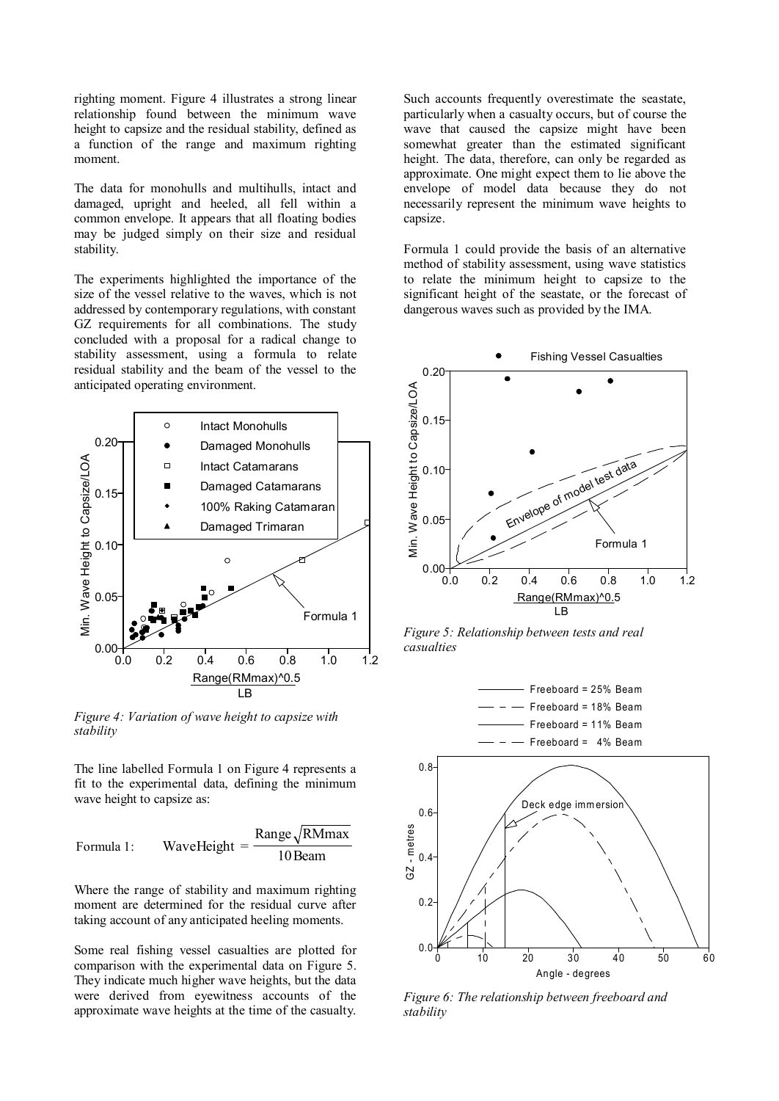righting moment. Figure 4 illustrates a strong linear relationship found between the minimum wave height to capsize and the residual stability, defined as a function of the range and maximum righting moment.

The data for monohulls and multihulls, intact and damaged, upright and heeled, all fell within a common envelope. It appears that all floating bodies may be judged simply on their size and residual stability.

The experiments highlighted the importance of the size of the vessel relative to the waves, which is not addressed by contemporary regulations, with constant GZ requirements for all combinations. The study concluded with a proposal for a radical change to stability assessment, using a formula to relate residual stability and the beam of the vessel to the anticipated operating environment.



*Figure 4: Variation of wave height to capsize with stability* 

The line labelled Formula 1 on Figure 4 represents a fit to the experimental data, defining the minimum wave height to capsize as:

Formula 1: WaveHeight = 
$$
\frac{\text{Range}\sqrt{\text{RMmax}}}{10 \text{Beam}}
$$

Where the range of stability and maximum righting moment are determined for the residual curve after taking account of any anticipated heeling moments.

Some real fishing vessel casualties are plotted for comparison with the experimental data on Figure 5. They indicate much higher wave heights, but the data were derived from eyewitness accounts of the approximate wave heights at the time of the casualty.

Such accounts frequently overestimate the seastate, particularly when a casualty occurs, but of course the wave that caused the capsize might have been somewhat greater than the estimated significant height. The data, therefore, can only be regarded as approximate. One might expect them to lie above the envelope of model data because they do not necessarily represent the minimum wave heights to capsize.

Formula 1 could provide the basis of an alternative method of stability assessment, using wave statistics to relate the minimum height to capsize to the significant height of the seastate, or the forecast of dangerous waves such as provided by the IMA.



*Figure 5: Relationship between tests and real casualties* 



*Figure 6: The relationship between freeboard and stability*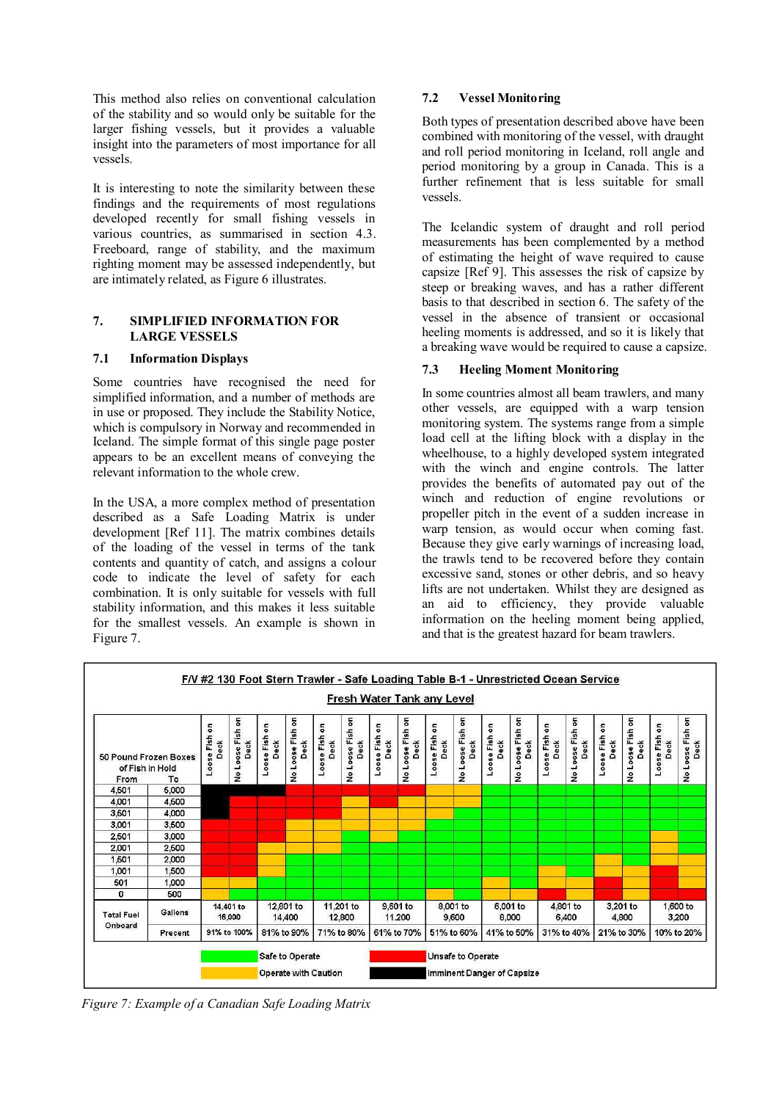This method also relies on conventional calculation of the stability and so would only be suitable for the larger fishing vessels, but it provides a valuable insight into the parameters of most importance for all vessels.

It is interesting to note the similarity between these findings and the requirements of most regulations developed recently for small fishing vessels in various countries, as summarised in section 4.3. Freeboard, range of stability, and the maximum righting moment may be assessed independently, but are intimately related, as Figure 6 illustrates.

## **7. SIMPLIFIED INFORMATION FOR LARGE VESSELS**

## **7.1 Information Displays**

Some countries have recognised the need for simplified information, and a number of methods are in use or proposed. They include the Stability Notice, which is compulsory in Norway and recommended in Iceland. The simple format of this single page poster appears to be an excellent means of conveying the relevant information to the whole crew.

In the USA, a more complex method of presentation described as a Safe Loading Matrix is under development [Ref 11]. The matrix combines details of the loading of the vessel in terms of the tank contents and quantity of catch, and assigns a colour code to indicate the level of safety for each combination. It is only suitable for vessels with full stability information, and this makes it less suitable for the smallest vessels. An example is shown in Figure 7.

# **7.2 Vessel Monitoring**

Both types of presentation described above have been combined with monitoring of the vessel, with draught and roll period monitoring in Iceland, roll angle and period monitoring by a group in Canada. This is a further refinement that is less suitable for small vessels.

The Icelandic system of draught and roll period measurements has been complemented by a method of estimating the height of wave required to cause capsize [Ref 9]. This assesses the risk of capsize by steep or breaking waves, and has a rather different basis to that described in section 6. The safety of the vessel in the absence of transient or occasional heeling moments is addressed, and so it is likely that a breaking wave would be required to cause a capsize.

# **7.3 Heeling Moment Monitoring**

In some countries almost all beam trawlers, and many other vessels, are equipped with a warp tension monitoring system. The systems range from a simple load cell at the lifting block with a display in the wheelhouse, to a highly developed system integrated with the winch and engine controls. The latter provides the benefits of automated pay out of the winch and reduction of engine revolutions or propeller pitch in the event of a sudden increase in warp tension, as would occur when coming fast. Because they give early warnings of increasing load, the trawls tend to be recovered before they contain excessive sand, stones or other debris, and so heavy lifts are not undertaken. Whilst they are designed as an aid to efficiency, they provide valuable information on the heeling moment being applied, and that is the greatest hazard for beam trawlers.



*Figure 7: Example of a Canadian Safe Loading Matrix*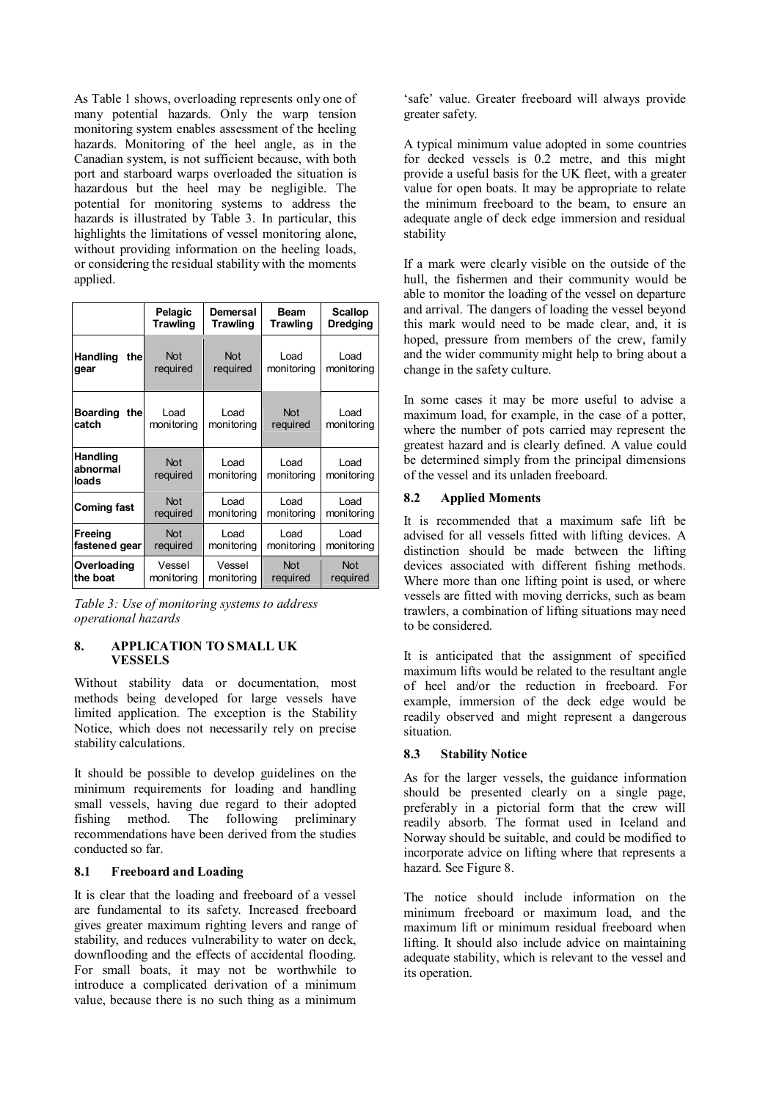As Table 1 shows, overloading represents only one of many potential hazards. Only the warp tension monitoring system enables assessment of the heeling hazards. Monitoring of the heel angle, as in the Canadian system, is not sufficient because, with both port and starboard warps overloaded the situation is hazardous but the heel may be negligible. The potential for monitoring systems to address the hazards is illustrated by Table 3. In particular, this highlights the limitations of vessel monitoring alone, without providing information on the heeling loads, or considering the residual stability with the moments applied.

|                                      | Pelagic                | Demersal               | <b>Beam</b>            | <b>Scallop</b>     |
|--------------------------------------|------------------------|------------------------|------------------------|--------------------|
|                                      | Trawling               | Trawling               | <b>Trawling</b>        | <b>Dredging</b>    |
| <b>Handling</b><br>thel<br>gear      | <b>Not</b><br>required | <b>Not</b><br>required | Load<br>monitoring     | Load<br>monitoring |
| <b>Boarding</b><br>thel<br>catch     | Load<br>monitoring     | Load<br>monitoring     | <b>Not</b><br>required | Load<br>monitoring |
| <b>Handling</b><br>abnormal<br>loads | <b>Not</b><br>required | Load<br>monitoring     | Load<br>monitoring     | Load<br>monitoring |
| <b>Coming fast</b>                   | <b>Not</b>             | Load                   | Load                   | Load               |
|                                      | required               | monitoring             | monitoring             | monitoring         |
| Freeing                              | <b>Not</b>             | Load                   | Load                   | Load               |
| fastened gear                        | required               | monitoring             | monitoring             | monitoring         |
| Overloading                          | Vessel                 | Vessel                 | <b>Not</b>             | <b>Not</b>         |
| the boat                             | monitoring             | monitoring             | required               | required           |

*Table 3: Use of monitoring systems to address operational hazards* 

### **8. APPLICATION TO SMALL UK VESSELS**

Without stability data or documentation, most methods being developed for large vessels have limited application. The exception is the Stability Notice, which does not necessarily rely on precise stability calculations.

It should be possible to develop guidelines on the minimum requirements for loading and handling small vessels, having due regard to their adopted fishing method. The following preliminary recommendations have been derived from the studies conducted so far.

#### **8.1 Freeboard and Loading**

It is clear that the loading and freeboard of a vessel are fundamental to its safety. Increased freeboard gives greater maximum righting levers and range of stability, and reduces vulnerability to water on deck, downflooding and the effects of accidental flooding. For small boats, it may not be worthwhile to introduce a complicated derivation of a minimum value, because there is no such thing as a minimum

'safe' value. Greater freeboard will always provide greater safety.

A typical minimum value adopted in some countries for decked vessels is 0.2 metre, and this might provide a useful basis for the UK fleet, with a greater value for open boats. It may be appropriate to relate the minimum freeboard to the beam, to ensure an adequate angle of deck edge immersion and residual stability

If a mark were clearly visible on the outside of the hull, the fishermen and their community would be able to monitor the loading of the vessel on departure and arrival. The dangers of loading the vessel beyond this mark would need to be made clear, and, it is hoped, pressure from members of the crew, family and the wider community might help to bring about a change in the safety culture.

In some cases it may be more useful to advise a maximum load, for example, in the case of a potter, where the number of pots carried may represent the greatest hazard and is clearly defined. A value could be determined simply from the principal dimensions of the vessel and its unladen freeboard.

## **8.2 Applied Moments**

It is recommended that a maximum safe lift be advised for all vessels fitted with lifting devices. A distinction should be made between the lifting devices associated with different fishing methods. Where more than one lifting point is used, or where vessels are fitted with moving derricks, such as beam trawlers, a combination of lifting situations may need to be considered.

It is anticipated that the assignment of specified maximum lifts would be related to the resultant angle of heel and/or the reduction in freeboard. For example, immersion of the deck edge would be readily observed and might represent a dangerous situation.

## **8.3 Stability Notice**

As for the larger vessels, the guidance information should be presented clearly on a single page, preferably in a pictorial form that the crew will readily absorb. The format used in Iceland and Norway should be suitable, and could be modified to incorporate advice on lifting where that represents a hazard. See Figure 8.

The notice should include information on the minimum freeboard or maximum load, and the maximum lift or minimum residual freeboard when lifting. It should also include advice on maintaining adequate stability, which is relevant to the vessel and its operation.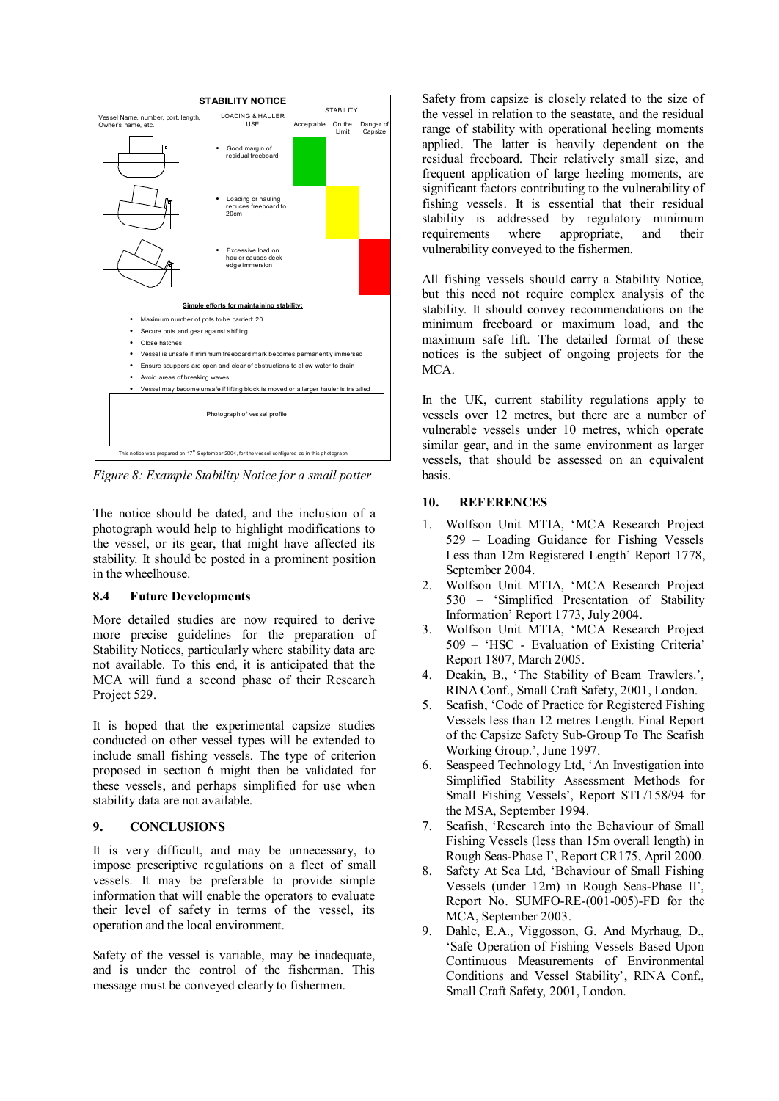

*Figure 8: Example Stability Notice for a small potter* 

The notice should be dated, and the inclusion of a photograph would help to highlight modifications to the vessel, or its gear, that might have affected its stability. It should be posted in a prominent position in the wheelhouse.

#### **8.4 Future Developments**

More detailed studies are now required to derive more precise guidelines for the preparation of Stability Notices, particularly where stability data are not available. To this end, it is anticipated that the MCA will fund a second phase of their Research Project 529.

It is hoped that the experimental capsize studies conducted on other vessel types will be extended to include small fishing vessels. The type of criterion proposed in section 6 might then be validated for these vessels, and perhaps simplified for use when stability data are not available.

## **9. CONCLUSIONS**

It is very difficult, and may be unnecessary, to impose prescriptive regulations on a fleet of small vessels. It may be preferable to provide simple information that will enable the operators to evaluate their level of safety in terms of the vessel, its operation and the local environment.

Safety of the vessel is variable, may be inadequate, and is under the control of the fisherman. This message must be conveyed clearly to fishermen.

Safety from capsize is closely related to the size of the vessel in relation to the seastate, and the residual range of stability with operational heeling moments applied. The latter is heavily dependent on the residual freeboard. Their relatively small size, and frequent application of large heeling moments, are significant factors contributing to the vulnerability of fishing vessels. It is essential that their residual stability is addressed by regulatory minimum requirements where appropriate, and their vulnerability conveyed to the fishermen.

All fishing vessels should carry a Stability Notice, but this need not require complex analysis of the stability. It should convey recommendations on the minimum freeboard or maximum load, and the maximum safe lift. The detailed format of these notices is the subject of ongoing projects for the MCA.

In the UK, current stability regulations apply to vessels over 12 metres, but there are a number of vulnerable vessels under 10 metres, which operate similar gear, and in the same environment as larger vessels, that should be assessed on an equivalent basis.

## **10. REFERENCES**

- 1. Wolfson Unit MTIA, 'MCA Research Project 529 – Loading Guidance for Fishing Vessels Less than 12m Registered Length' Report 1778, September 2004.
- 2. Wolfson Unit MTIA, 'MCA Research Project 530 – 'Simplified Presentation of Stability Information' Report 1773, July 2004.
- 3. Wolfson Unit MTIA, 'MCA Research Project 509 – 'HSC - Evaluation of Existing Criteria' Report 1807, March 2005.
- 4. Deakin, B., 'The Stability of Beam Trawlers.', RINA Conf., Small Craft Safety, 2001, London.
- 5. Seafish, 'Code of Practice for Registered Fishing Vessels less than 12 metres Length. Final Report of the Capsize Safety Sub-Group To The Seafish Working Group.', June 1997.
- 6. Seaspeed Technology Ltd, 'An Investigation into Simplified Stability Assessment Methods for Small Fishing Vessels', Report STL/158/94 for the MSA, September 1994.
- 7. Seafish, 'Research into the Behaviour of Small Fishing Vessels (less than 15m overall length) in Rough Seas-Phase I', Report CR175, April 2000.
- 8. Safety At Sea Ltd, 'Behaviour of Small Fishing Vessels (under 12m) in Rough Seas-Phase II', Report No. SUMFO-RE-(001-005)-FD for the MCA, September 2003.
- 9. Dahle, E.A., Viggosson, G. And Myrhaug, D., 'Safe Operation of Fishing Vessels Based Upon Continuous Measurements of Environmental Conditions and Vessel Stability', RINA Conf., Small Craft Safety, 2001, London.